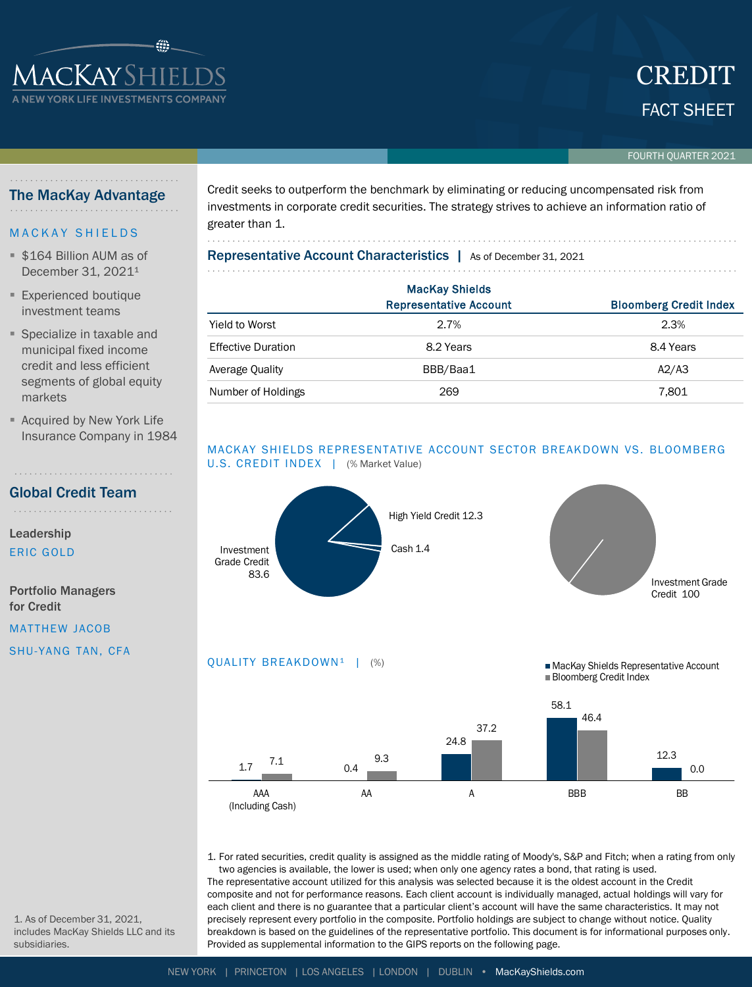# FACT SHEET CREDIT

#### FOURTH QUARTER 2021

# The MacKay Advantage

**ACKAYSHIEI** 

## **MACKAY SHIELDS**

- \$164 Billion AUM as of December 31, 2021<sup>1</sup>
- **Experienced boutique** investment teams
- Specialize in taxable and municipal fixed income credit and less efficient segments of global equity markets
- Acquired by New York Life Insurance Company in 1984

Global Credit Team . . . . . . . . . . . . . . . . . . . .

Leadership ERIC GOLD

Portfolio Managers for Credit

MATTHEW JACOB

SHU-YANG TAN, CFA

Credit seeks to outperform the benchmark by eliminating or reducing uncompensated risk from investments in corporate credit securities. The strategy strives to achieve an information ratio of greater than 1.

# Representative Account Characteristics | As of December 31, 2021

|                           | <b>MacKay Shields</b>         |                               |
|---------------------------|-------------------------------|-------------------------------|
|                           | <b>Representative Account</b> | <b>Bloomberg Credit Index</b> |
| Yield to Worst            | 2.7%                          | 2.3%                          |
| <b>Effective Duration</b> | 8.2 Years                     | 8.4 Years                     |
| Average Quality           | BBB/Baa1                      | A2/A3                         |
| Number of Holdings        | 269                           | 7,801                         |

## MACKAY SHIELDS REPRESENTATIVE ACCOUNT SECTOR BREAKDOWN VS. BLOOMBERG U.S. CREDIT INDEX | (% Market Value)



1. For rated securities, credit quality is assigned as the middle rating of Moody's, S&P and Fitch; when a rating from only two agencies is available, the lower is used; when only one agency rates a bond, that rating is used. The representative account utilized for this analysis was selected because it is the oldest account in the Credit composite and not for performance reasons. Each client account is individually managed, actual holdings will vary for each client and there is no guarantee that a particular client's account will have the same characteristics. It may not precisely represent every portfolio in the composite. Portfolio holdings are subject to change without notice. Quality breakdown is based on the guidelines of the representative portfolio. This document is for informational purposes only.

1. As of December 31, 2021, includes MacKay Shields LLC and its subsidiaries.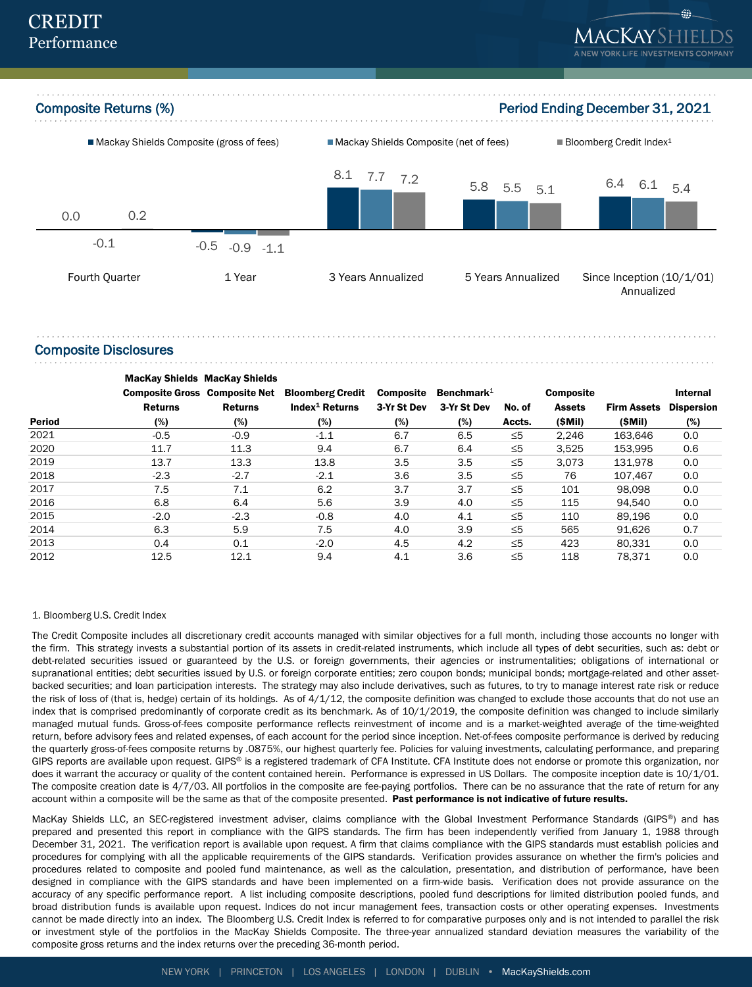

Composite Disclosures

Period MacKay Shields MacKay Shields Composite Gross Composite Net Returns (%) Returns (%) Bloomberg Credit Index<sup>1</sup> Returns (%) Composite 3-Yr St Dev (%) Benchmark $1$ 3-Yr St Dev (%) No. of Accts. Composite Assets (\$Mil) Firm Assets (\$Mil) Internal Dispersion (%) 2021 - 1.5 - 1.9 - 1.1 - 1.5 − 6.7 - 6.5 ≤5 2,246 163,646 0.0 2020 11.7 11.3 9.4 6.7 6.4 ≤5 3,525 153,995 0.6 2019 13.7 13.3 13.8 3.5 3.5 ≤5 3,073 131,978 0.0 2018 -2.3 -2.7 -2.1 3.6 3.5 ≤5 76 107,467 0.0 2017 7.5 7.1 6.2 3.7 3.7 ≤5 101 98,098 0.0 2016 6.8 6.4 5.6 3.9 4.0 ≤5 115 94,540 0.0  $2015$   $-2.0$   $-2.3$   $-0.8$   $4.0$   $4.1$  ≤5 110 89,196 0.0 2014 6.3 5.9 7.5 4.0 3.9 ≤5 565 91,626 0.7 2013 0.4 0.1 -2.0 4.5 4.2 ≤5 423 80,331 0.0 2012 12.5 12.1 9.4 4.1 3.6 ≤5 118 78,371 0.0

#### 1. Bloomberg U.S. Credit Index

The Credit Composite includes all discretionary credit accounts managed with similar objectives for a full month, including those accounts no longer with the firm. This strategy invests a substantial portion of its assets in credit-related instruments, which include all types of debt securities, such as: debt or debt-related securities issued or guaranteed by the U.S. or foreign governments, their agencies or instrumentalities; obligations of international or supranational entities; debt securities issued by U.S. or foreign corporate entities; zero coupon bonds; municipal bonds; mortgage-related and other assetbacked securities; and loan participation interests. The strategy may also include derivatives, such as futures, to try to manage interest rate risk or reduce the risk of loss of (that is, hedge) certain of its holdings. As of 4/1/12, the composite definition was changed to exclude those accounts that do not use an index that is comprised predominantly of corporate credit as its benchmark. As of 10/1/2019, the composite definition was changed to include similarly managed mutual funds. Gross-of-fees composite performance reflects reinvestment of income and is a market-weighted average of the time-weighted return, before advisory fees and related expenses, of each account for the period since inception. Net-of-fees composite performance is derived by reducing the quarterly gross-of-fees composite returns by .0875%, our highest quarterly fee. Policies for valuing investments, calculating performance, and preparing GIPS reports are available upon request. GIPS® is a registered trademark of CFA Institute. CFA Institute does not endorse or promote this organization, nor does it warrant the accuracy or quality of the content contained herein. Performance is expressed in US Dollars. The composite inception date is 10/1/01. The composite creation date is 4/7/03. All portfolios in the composite are fee-paying portfolios. There can be no assurance that the rate of return for any account within a composite will be the same as that of the composite presented. Past performance is not indicative of future results.

MacKay Shields LLC, an SEC-registered investment adviser, claims compliance with the Global Investment Performance Standards (GIPS®) and has prepared and presented this report in compliance with the GIPS standards. The firm has been independently verified from January 1, 1988 through December 31, 2021. The verification report is available upon request. A firm that claims compliance with the GIPS standards must establish policies and procedures for complying with all the applicable requirements of the GIPS standards. Verification provides assurance on whether the firm's policies and procedures related to composite and pooled fund maintenance, as well as the calculation, presentation, and distribution of performance, have been designed in compliance with the GIPS standards and have been implemented on a firm-wide basis. Verification does not provide assurance on the accuracy of any specific performance report. A list including composite descriptions, pooled fund descriptions for limited distribution pooled funds, and broad distribution funds is available upon request. Indices do not incur management fees, transaction costs or other operating expenses. Investments cannot be made directly into an index. The Bloomberg U.S. Credit Index is referred to for comparative purposes only and is not intended to parallel the risk or investment style of the portfolios in the MacKay Shields Composite. The three-year annualized standard deviation measures the variability of the composite gross returns and the index returns over the preceding 36-month period.